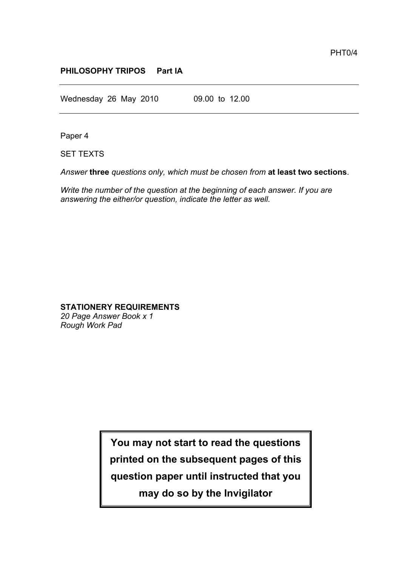## **PHILOSOPHY TRIPOS Part IA**

Wednesday 26 May 2010 09.00 to 12.00

Paper 4

SET TEXTS

*Answer* **three** *questions only, which must be chosen from* **at least two sections**.

*Write the number of the question at the beginning of each answer. If you are answering the either/or question, indicate the letter as well.*

## **STATIONERY REQUIREMENTS**

*20 Page Answer Book x 1 Rough Work Pad*

> **You may not start to read the questions printed on the subsequent pages of this question paper until instructed that you may do so by the Invigilator**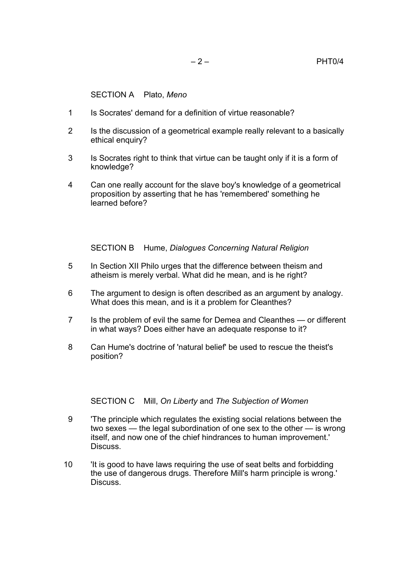SECTION A Plato, *Meno*

- 1 Is Socrates' demand for a definition of virtue reasonable?
- 2 Is the discussion of a geometrical example really relevant to a basically ethical enquiry?
- 3 Is Socrates right to think that virtue can be taught only if it is a form of knowledge?
- 4 Can one really account for the slave boy's knowledge of a geometrical proposition by asserting that he has 'remembered' something he learned before?

SECTION B Hume, *Dialogues Concerning Natural Religion*

- 5 In Section XII Philo urges that the difference between theism and atheism is merely verbal. What did he mean, and is he right?
- 6 The argument to design is often described as an argument by analogy. What does this mean, and is it a problem for Cleanthes?
- 7 Is the problem of evil the same for Demea and Cleanthes or different in what ways? Does either have an adequate response to it?
- 8 Can Hume's doctrine of 'natural belief' be used to rescue the theist's position?

SECTION C Mill, *On Liberty* and *The Subjection of Women*

- 9 'The principle which regulates the existing social relations between the two sexes — the legal subordination of one sex to the other — is wrong itself, and now one of the chief hindrances to human improvement.' **Discuss**
- 10 'It is good to have laws requiring the use of seat belts and forbidding the use of dangerous drugs. Therefore Mill's harm principle is wrong.' Discuss.